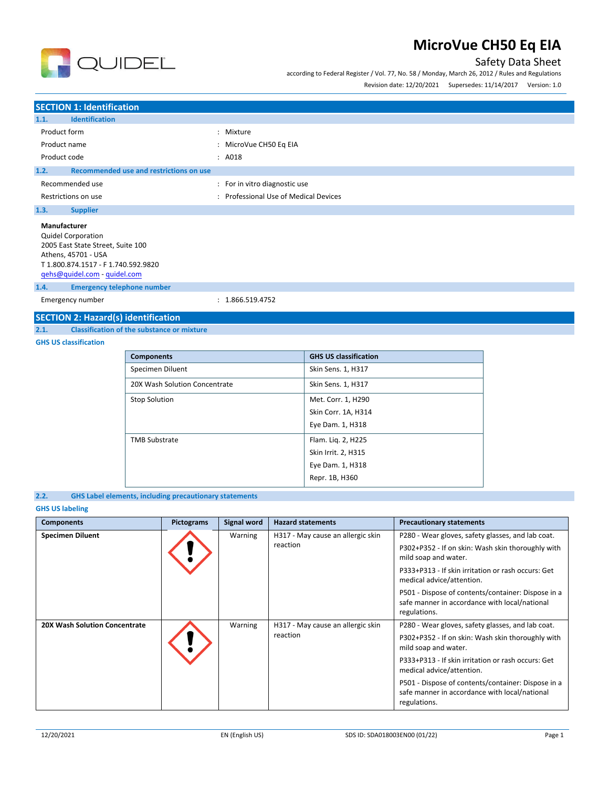

according to Federal Register / Vol. 77, No. 58 / Monday, March 26, 2012 / Rules and Regulations

Revision date: 12/20/2021 Supersedes: 11/14/2017 Version: 1.0



**SECTION 1: Identification 1.1. Identification** Product form  $\qquad \qquad : \qquad$  Mixture Product name  $\qquad \qquad$ : MicroVue CH50 Eq EIA Product code : A018 **1.2. Recommended use and restrictions on use** Recommended use  $\qquad \qquad$ : For in vitro diagnostic use Restrictions on use **Secure 2018** Channel 2013 : Professional Use of Medical Devices **1.3. Supplier Manufacturer** Quidel Corporation 2005 East State Street, Suite 100 Athens, 45701 - USA

T 1.800.874.1517 - F 1.740.592.9820

[qehs@quidel.com](mailto:qehs@quidel.com) - [quidel.com](http://quidel.com/)

**1.4. Emergency telephone number**

Emergency number : 1.866.519.4752

### **SECTION 2: Hazard(s) identification**

**2.1. Classification of the substance or mixture**

### **GHS US classification**

| <b>Components</b>             | <b>GHS US classification</b> |
|-------------------------------|------------------------------|
| Specimen Diluent              | Skin Sens. 1, H317           |
| 20X Wash Solution Concentrate | Skin Sens. 1, H317           |
| <b>Stop Solution</b>          | Met. Corr. 1, H290           |
|                               | Skin Corr. 1A, H314          |
|                               | Eye Dam. 1, H318             |
| <b>TMB Substrate</b>          | Flam. Lig. 2, H225           |
|                               | Skin Irrit. 2, H315          |
|                               | Eye Dam. 1, H318             |
|                               | Repr. 1B, H360               |

### **2.2. GHS Label elements, including precautionary statements**

### **GHS US labeling**

| <b>Components</b>                    | <b>Pictograms</b> | Signal word                                                               | <b>Hazard statements</b>          | <b>Precautionary statements</b>                                                                                     |
|--------------------------------------|-------------------|---------------------------------------------------------------------------|-----------------------------------|---------------------------------------------------------------------------------------------------------------------|
| <b>Specimen Diluent</b>              |                   | Warning                                                                   | H317 - May cause an allergic skin | P280 - Wear gloves, safety glasses, and lab coat.                                                                   |
|                                      | reaction          | P302+P352 - If on skin: Wash skin thoroughly with<br>mild soap and water. |                                   |                                                                                                                     |
|                                      |                   |                                                                           |                                   | P333+P313 - If skin irritation or rash occurs: Get<br>medical advice/attention.                                     |
|                                      |                   |                                                                           |                                   | P501 - Dispose of contents/container: Dispose in a<br>safe manner in accordance with local/national<br>regulations. |
| <b>20X Wash Solution Concentrate</b> |                   | Warning                                                                   | H317 - May cause an allergic skin | P280 - Wear gloves, safety glasses, and lab coat.                                                                   |
|                                      |                   |                                                                           | reaction                          | P302+P352 - If on skin: Wash skin thoroughly with<br>mild soap and water.                                           |
|                                      |                   |                                                                           |                                   | P333+P313 - If skin irritation or rash occurs: Get<br>medical advice/attention.                                     |
|                                      |                   |                                                                           |                                   | P501 - Dispose of contents/container: Dispose in a<br>safe manner in accordance with local/national<br>regulations. |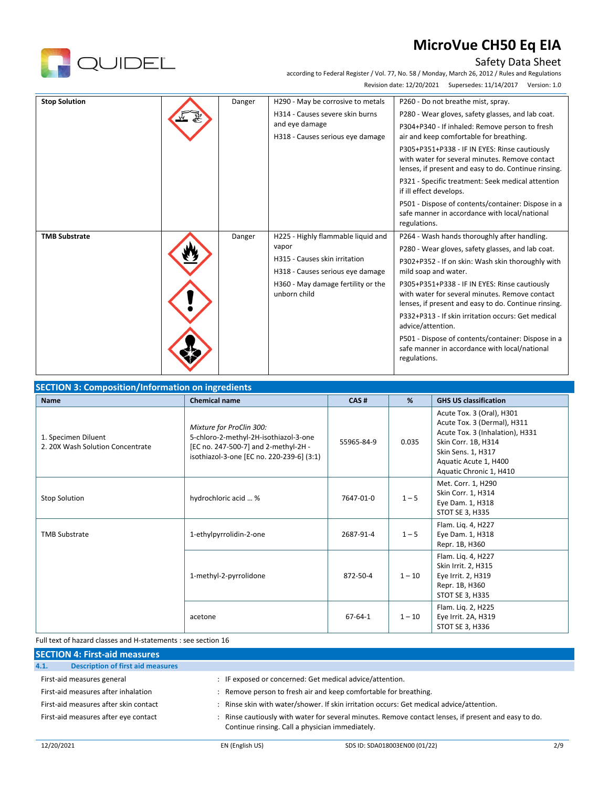

# Safety Data Sheet

according to Federal Register / Vol. 77, No. 58 / Monday, March 26, 2012 / Rules and Regulations Revision date: 12/20/2021 Supersedes: 11/14/2017 Version: 1.0

| <b>Stop Solution</b> | Danger | H290 - May be corrosive to metals<br>H314 - Causes severe skin burns<br>and eye damage<br>H318 - Causes serious eye damage                                             | P260 - Do not breathe mist, spray.<br>P280 - Wear gloves, safety glasses, and lab coat.<br>P304+P340 - If inhaled: Remove person to fresh<br>air and keep comfortable for breathing.<br>P305+P351+P338 - IF IN EYES: Rinse cautiously<br>with water for several minutes. Remove contact<br>lenses, if present and easy to do. Continue rinsing.<br>P321 - Specific treatment: Seek medical attention<br>if ill effect develops.<br>P501 - Dispose of contents/container: Dispose in a<br>safe manner in accordance with local/national<br>regulations. |
|----------------------|--------|------------------------------------------------------------------------------------------------------------------------------------------------------------------------|--------------------------------------------------------------------------------------------------------------------------------------------------------------------------------------------------------------------------------------------------------------------------------------------------------------------------------------------------------------------------------------------------------------------------------------------------------------------------------------------------------------------------------------------------------|
| <b>TMB Substrate</b> | Danger | H225 - Highly flammable liquid and<br>vapor<br>H315 - Causes skin irritation<br>H318 - Causes serious eye damage<br>H360 - May damage fertility or the<br>unborn child | P264 - Wash hands thoroughly after handling.<br>P280 - Wear gloves, safety glasses, and lab coat.<br>P302+P352 - If on skin: Wash skin thoroughly with<br>mild soap and water.<br>P305+P351+P338 - IF IN EYES: Rinse cautiously<br>with water for several minutes. Remove contact<br>lenses, if present and easy to do. Continue rinsing.<br>P332+P313 - If skin irritation occurs: Get medical<br>advice/attention.<br>P501 - Dispose of contents/container: Dispose in a<br>safe manner in accordance with local/national<br>regulations.            |

| <b>Name</b>                                             | <b>Chemical name</b>                                                                                                                                   | CAS#          | %        | <b>GHS US classification</b>                                                                                                                                                                 |
|---------------------------------------------------------|--------------------------------------------------------------------------------------------------------------------------------------------------------|---------------|----------|----------------------------------------------------------------------------------------------------------------------------------------------------------------------------------------------|
| 1. Specimen Diluent<br>2. 20X Wash Solution Concentrate | Mixture for ProClin 300:<br>5-chloro-2-methyl-2H-isothiazol-3-one<br>[EC no. 247-500-7] and 2-methyl-2H -<br>isothiazol-3-one [EC no. 220-239-6] (3:1) | 55965-84-9    | 0.035    | Acute Tox. 3 (Oral), H301<br>Acute Tox. 3 (Dermal), H311<br>Acute Tox. 3 (Inhalation), H331<br>Skin Corr. 1B, H314<br>Skin Sens. 1, H317<br>Aquatic Acute 1, H400<br>Aquatic Chronic 1, H410 |
| <b>Stop Solution</b>                                    | hydrochloric acid  %                                                                                                                                   | 7647-01-0     | $1 - 5$  | Met. Corr. 1, H290<br>Skin Corr. 1, H314<br>Eye Dam. 1, H318<br>STOT SE 3, H335                                                                                                              |
| <b>TMB Substrate</b>                                    | 1-ethylpyrrolidin-2-one                                                                                                                                | 2687-91-4     | $1 - 5$  | Flam. Liq. 4, H227<br>Eye Dam. 1, H318<br>Repr. 1B, H360                                                                                                                                     |
|                                                         | 1-methyl-2-pyrrolidone                                                                                                                                 | 872-50-4      | $1 - 10$ | Flam. Lig. 4, H227<br>Skin Irrit. 2, H315<br>Eye Irrit. 2, H319<br>Repr. 1B, H360<br>STOT SE 3, H335                                                                                         |
|                                                         | acetone                                                                                                                                                | $67 - 64 - 1$ | $1 - 10$ | Flam. Liq. 2, H225<br>Eye Irrit. 2A, H319<br>STOT SE 3, H336                                                                                                                                 |

### Full text of hazard classes and H-statements : see section 16

| <b>SECTION 4: First-aid measures</b>             |                                                                                                                                                         |  |  |  |
|--------------------------------------------------|---------------------------------------------------------------------------------------------------------------------------------------------------------|--|--|--|
| <b>Description of first aid measures</b><br>4.1. |                                                                                                                                                         |  |  |  |
| First-aid measures general                       | : IF exposed or concerned: Get medical advice/attention.                                                                                                |  |  |  |
| First-aid measures after inhalation              | : Remove person to fresh air and keep comfortable for breathing.                                                                                        |  |  |  |
| First-aid measures after skin contact            | : Rinse skin with water/shower. If skin irritation occurs: Get medical advice/attention.                                                                |  |  |  |
| First-aid measures after eye contact             | : Rinse cautiously with water for several minutes. Remove contact lenses, if present and easy to do.<br>Continue rinsing. Call a physician immediately. |  |  |  |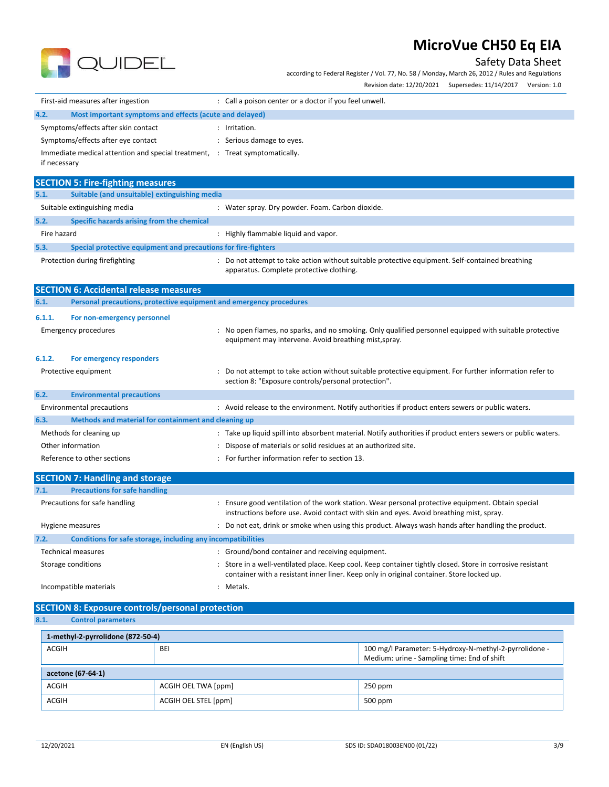

Safety Data Sheet

according to Federal Register / Vol. 77, No. 58 / Monday, March 26, 2012 / Rules and Regulations

|                                                                             | Revision date: 12/20/2021    Supersedes: 11/14/2017    Version: 1.0                                                                                                                                     |  |  |
|-----------------------------------------------------------------------------|---------------------------------------------------------------------------------------------------------------------------------------------------------------------------------------------------------|--|--|
| First-aid measures after ingestion                                          | : Call a poison center or a doctor if you feel unwell.                                                                                                                                                  |  |  |
| 4.2.<br>Most important symptoms and effects (acute and delayed)             |                                                                                                                                                                                                         |  |  |
| Symptoms/effects after skin contact                                         | : Irritation.                                                                                                                                                                                           |  |  |
| Symptoms/effects after eye contact                                          | : Serious damage to eyes.                                                                                                                                                                               |  |  |
| Immediate medical attention and special treatment, : Treat symptomatically. |                                                                                                                                                                                                         |  |  |
| if necessary                                                                |                                                                                                                                                                                                         |  |  |
| <b>SECTION 5: Fire-fighting measures</b>                                    |                                                                                                                                                                                                         |  |  |
| 5.1.<br>Suitable (and unsuitable) extinguishing media                       |                                                                                                                                                                                                         |  |  |
| Suitable extinguishing media                                                | : Water spray. Dry powder. Foam. Carbon dioxide.                                                                                                                                                        |  |  |
| 5.2.<br>Specific hazards arising from the chemical                          |                                                                                                                                                                                                         |  |  |
| Fire hazard                                                                 | : Highly flammable liquid and vapor.                                                                                                                                                                    |  |  |
| 5.3.<br>Special protective equipment and precautions for fire-fighters      |                                                                                                                                                                                                         |  |  |
| Protection during firefighting                                              | : Do not attempt to take action without suitable protective equipment. Self-contained breathing<br>apparatus. Complete protective clothing.                                                             |  |  |
| <b>SECTION 6: Accidental release measures</b>                               |                                                                                                                                                                                                         |  |  |
| 6.1.<br>Personal precautions, protective equipment and emergency procedures |                                                                                                                                                                                                         |  |  |
| 6.1.1.<br>For non-emergency personnel                                       |                                                                                                                                                                                                         |  |  |
| <b>Emergency procedures</b>                                                 | : No open flames, no sparks, and no smoking. Only qualified personnel equipped with suitable protective<br>equipment may intervene. Avoid breathing mist, spray.                                        |  |  |
| 6.1.2.<br>For emergency responders                                          |                                                                                                                                                                                                         |  |  |
| Protective equipment                                                        | Do not attempt to take action without suitable protective equipment. For further information refer to<br>section 8: "Exposure controls/personal protection".                                            |  |  |
| 6.2.<br><b>Environmental precautions</b>                                    |                                                                                                                                                                                                         |  |  |
| <b>Environmental precautions</b>                                            | : Avoid release to the environment. Notify authorities if product enters sewers or public waters.                                                                                                       |  |  |
| 6.3.<br>Methods and material for containment and cleaning up                |                                                                                                                                                                                                         |  |  |
| Methods for cleaning up                                                     | : Take up liquid spill into absorbent material. Notify authorities if product enters sewers or public waters.                                                                                           |  |  |
| Other information                                                           | Dispose of materials or solid residues at an authorized site.                                                                                                                                           |  |  |
| Reference to other sections                                                 | : For further information refer to section 13.                                                                                                                                                          |  |  |
| <b>SECTION 7: Handling and storage</b>                                      |                                                                                                                                                                                                         |  |  |
| <b>Precautions for safe handling</b><br>7.1.                                |                                                                                                                                                                                                         |  |  |
| Precautions for safe handling                                               | : Ensure good ventilation of the work station. Wear personal protective equipment. Obtain special<br>instructions before use. Avoid contact with skin and eyes. Avoid breathing mist, spray.            |  |  |
| Hygiene measures                                                            | : Do not eat, drink or smoke when using this product. Always wash hands after handling the product.                                                                                                     |  |  |
| Conditions for safe storage, including any incompatibilities<br>7.2.        |                                                                                                                                                                                                         |  |  |
| <b>Technical measures</b>                                                   | : Ground/bond container and receiving equipment.                                                                                                                                                        |  |  |
| Storage conditions                                                          | : Store in a well-ventilated place. Keep cool. Keep container tightly closed. Store in corrosive resistant<br>container with a resistant inner liner. Keep only in original container. Store locked up. |  |  |
| Incompatible materials                                                      | : Metals.                                                                                                                                                                                               |  |  |
| <b>SECTION 8: Exposure controls/personal protection</b>                     |                                                                                                                                                                                                         |  |  |

**8.1. Control parameters**

| 1-methyl-2-pyrrolidone (872-50-4) |                      |                                                                                                       |  |  |
|-----------------------------------|----------------------|-------------------------------------------------------------------------------------------------------|--|--|
| ACGIH<br><b>BEI</b>               |                      | 100 mg/l Parameter: 5-Hydroxy-N-methyl-2-pyrrolidone -<br>Medium: urine - Sampling time: End of shift |  |  |
| acetone (67-64-1)                 |                      |                                                                                                       |  |  |
| ACGIH                             | ACGIH OEL TWA [ppm]  | $250$ ppm                                                                                             |  |  |
| ACGIH                             | ACGIH OEL STEL [ppm] | 500 ppm                                                                                               |  |  |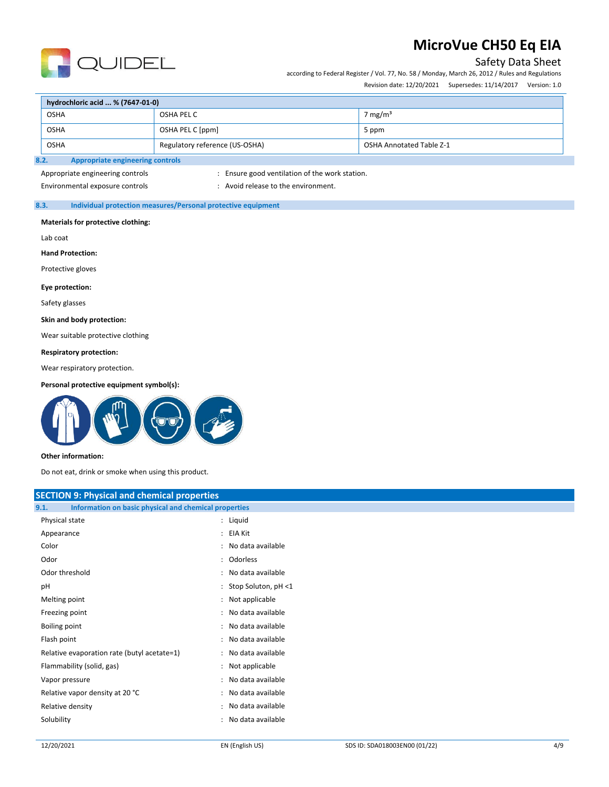

# Safety Data Sheet

according to Federal Register / Vol. 77, No. 58 / Monday, March 26, 2012 / Rules and Regulations Revision date: 12/20/2021 Supersedes: 11/14/2017 Version: 1.0

|                                                                                  | hydrochloric acid  % (7647-01-0)                |                  |                     |  |
|----------------------------------------------------------------------------------|-------------------------------------------------|------------------|---------------------|--|
| <b>OSHA</b>                                                                      |                                                 | OSHA PEL C       | 7 mg/m <sup>3</sup> |  |
|                                                                                  | <b>OSHA</b>                                     | OSHA PEL C [ppm] | 5 ppm               |  |
| <b>OSHA</b><br>Regulatory reference (US-OSHA)<br><b>OSHA Annotated Table Z-1</b> |                                                 |                  |                     |  |
|                                                                                  | 8.2.<br><b>Appropriate engineering controls</b> |                  |                     |  |

# Appropriate engineering controls : Ensure good ventilation of the work station.

Environmental exposure controls example to the environment.

### **8.3. Individual protection measures/Personal protective equipment**

#### **Materials for protective clothing:**

Lab coat

**Hand Protection:**

Protective gloves

### **Eye protection:**

Safety glasses

#### **Skin and body protection:**

Wear suitable protective clothing

#### **Respiratory protection:**

Wear respiratory protection.

#### **Personal protective equipment symbol(s):**



#### **Other information:**

Do not eat, drink or smoke when using this product.

| <b>SECTION 9: Physical and chemical properties</b>            |                          |  |
|---------------------------------------------------------------|--------------------------|--|
| Information on basic physical and chemical properties<br>9.1. |                          |  |
| Physical state                                                | : Liquid                 |  |
| Appearance                                                    | : EIA Kit                |  |
| Color                                                         | : No data available      |  |
| Odor                                                          | : Odorless               |  |
| Odor threshold                                                | : No data available      |  |
| pH                                                            | : Stop Soluton, $pH < 1$ |  |
| Melting point                                                 | : Not applicable         |  |
| Freezing point                                                | : No data available      |  |
| Boiling point                                                 | : No data available      |  |
| Flash point                                                   | : No data available      |  |
| Relative evaporation rate (butyl acetate=1)                   | : No data available      |  |
| Flammability (solid, gas)                                     | : Not applicable         |  |
| Vapor pressure                                                | : No data available      |  |
| Relative vapor density at 20 °C                               | : No data available      |  |
| Relative density                                              | : No data available      |  |
| Solubility                                                    | : No data available      |  |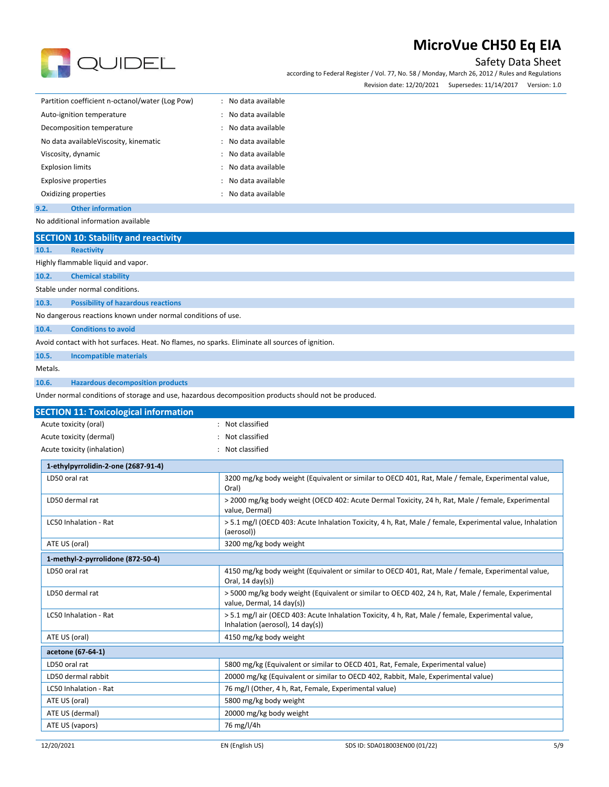

Safety Data Sheet

according to Federal Register / Vol. 77, No. 58 / Monday, March 26, 2012 / Rules and Regulations

Revision date: 12/20/2021 Supersedes: 11/14/2017 Version: 1.0

| Partition coefficient n-octanol/water (Log Pow) | : No data available |
|-------------------------------------------------|---------------------|
| Auto-ignition temperature                       | : No data available |
| Decomposition temperature                       | : No data available |
| No data available Viscosity, kinematic          | : No data available |
| Viscosity, dynamic                              | : No data available |
| <b>Explosion limits</b>                         | : No data available |
| <b>Explosive properties</b>                     | : No data available |
| Oxidizing properties                            | : No data available |
|                                                 |                     |

**9.2. Other information** No additional information available

12/20/2021 EN (English US) SDS ID: SDA018003EN00 (01/22) 5/9 **SECTION 10: Stability and reactivity 10.1. Reactivity** Highly flammable liquid and vapor. **10.2. Chemical stability** Stable under normal conditions. **10.3. Possibility of hazardous reactions** No dangerous reactions known under normal conditions of use. **10.4. Conditions to avoid** Avoid contact with hot surfaces. Heat. No flames, no sparks. Eliminate all sources of ignition. **10.5. Incompatible materials** Metals. **10.6. Hazardous decomposition products** Under normal conditions of storage and use, hazardous decomposition products should not be produced. **SECTION 11: Toxicological information** Acute toxicity (oral) **Example 20** and the control of the Not classified Acute toxicity (dermal) **Acute toxicity** (dermal) **Not** classified Acute toxicity (inhalation) : Not classified **1-ethylpyrrolidin-2-one (2687-91-4)** LD50 oral rat 13200 mg/kg body weight (Equivalent or similar to OECD 401, Rat, Male / female, Experimental value, Oral) LD50 dermal rat **1988** and rat the 2000 mg/kg body weight (OECD 402: Acute Dermal Toxicity, 24 h, Rat, Male / female, Experimental value, Dermal) LC50 Inhalation - Rat **1980 12:20 12:30 12:30 12:30 12:30 13:30 13:40 13:40 13:40 14:50 15:40 15:40 15:40 16:40 16:40 16:40 16:40 16:40 16:40 16:40 16:40 16:40 16:40 16:40 16:40 16:40 16:40 16:40 16:40 16:40 16:40 16:40 16** (aerosol)) ATE US (oral) and the state of the state of the state of 3200 mg/kg body weight **1-methyl-2-pyrrolidone (872-50-4)** LD50 oral rat **4150 mg/kg body weight (Equivalent or similar to OECD 401**, Rat, Male / female, Experimental value, Oral, 14 day(s)) LD50 dermal rat **1980 mg/kg body weight (Equivalent or similar to OECD 402, 24 h, Rat, Male / female, Experimental** value, Dermal, 14 day(s)) LC50 Inhalation - Rat **Fig. 2012** > 5.1 mg/l air (OECD 403: Acute Inhalation Toxicity, 4 h, Rat, Male / female, Experimental value, Inhalation (aerosol), 14 day(s)) ATE US (oral) and the state of the state of the 4150 mg/kg body weight **acetone (67-64-1)** LD50 oral rat the state of the 5800 mg/kg (Equivalent or similar to OECD 401, Rat, Female, Experimental value) LD50 dermal rabbit 20000 mg/kg (Equivalent or similar to OECD 402, Rabbit, Male, Experimental value) LC50 Inhalation - Rat 1999 1999 10 mg/l (Other, 4 h, Rat, Female, Experimental value) ATE US (oral) and the state of the state of the S800 mg/kg body weight ATE US (dermal) 20000 mg/kg body weight ATE US (vapors) 26 mg/l/4h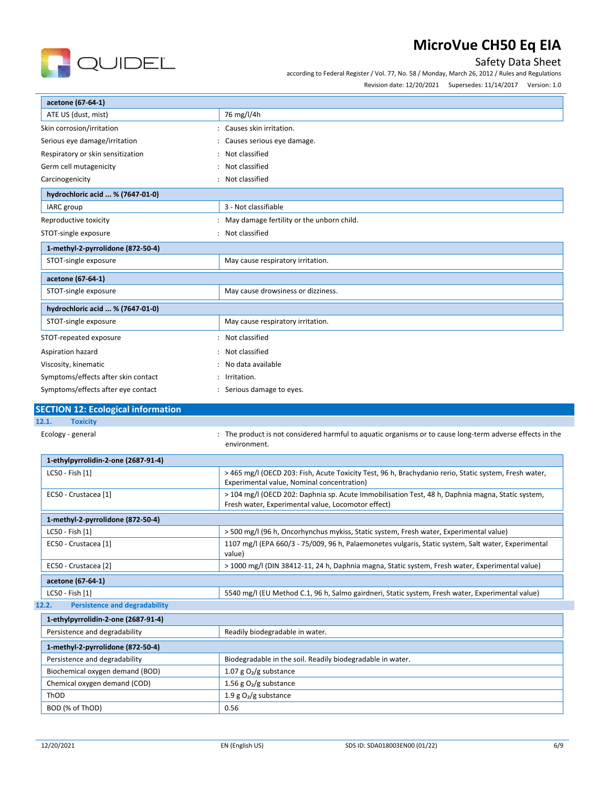

according to Federal Register / Vol. 77, No. 58 / Monday, March 26, 2012 / Rules and Regulations

Revision date: 12/20/2021 Supersedes: 11/14/2017 Version: 1.0

| acetone (67-64-1)                         |                                                                                                                                                        |  |  |
|-------------------------------------------|--------------------------------------------------------------------------------------------------------------------------------------------------------|--|--|
| ATE US (dust, mist)                       | 76 mg/l/4h                                                                                                                                             |  |  |
| Skin corrosion/irritation                 | : Causes skin irritation.                                                                                                                              |  |  |
| Serious eye damage/irritation             | Causes serious eye damage.                                                                                                                             |  |  |
| Respiratory or skin sensitization         | Not classified                                                                                                                                         |  |  |
| Germ cell mutagenicity                    | Not classified                                                                                                                                         |  |  |
| Carcinogenicity                           | : Not classified                                                                                                                                       |  |  |
| hydrochloric acid  % (7647-01-0)          |                                                                                                                                                        |  |  |
| IARC group                                | 3 - Not classifiable                                                                                                                                   |  |  |
| Reproductive toxicity                     | May damage fertility or the unborn child.                                                                                                              |  |  |
| STOT-single exposure                      | : Not classified                                                                                                                                       |  |  |
| 1-methyl-2-pyrrolidone (872-50-4)         |                                                                                                                                                        |  |  |
| STOT-single exposure                      | May cause respiratory irritation.                                                                                                                      |  |  |
| acetone (67-64-1)                         |                                                                                                                                                        |  |  |
| STOT-single exposure                      | May cause drowsiness or dizziness.                                                                                                                     |  |  |
| hydrochloric acid  % (7647-01-0)          |                                                                                                                                                        |  |  |
| STOT-single exposure                      | May cause respiratory irritation.                                                                                                                      |  |  |
| STOT-repeated exposure                    | : Not classified                                                                                                                                       |  |  |
| Aspiration hazard                         | Not classified                                                                                                                                         |  |  |
| Viscosity, kinematic                      | No data available                                                                                                                                      |  |  |
| Symptoms/effects after skin contact       | Irritation.                                                                                                                                            |  |  |
| Symptoms/effects after eye contact        | : Serious damage to eyes.                                                                                                                              |  |  |
| <b>SECTION 12: Ecological information</b> |                                                                                                                                                        |  |  |
| 12.1.<br><b>Toxicity</b>                  |                                                                                                                                                        |  |  |
| Ecology - general                         | : The product is not considered harmful to aquatic organisms or to cause long-term adverse effects in the<br>environment.                              |  |  |
| 1-ethylpyrrolidin-2-one (2687-91-4)       |                                                                                                                                                        |  |  |
| LC50 - Fish [1]                           | > 465 mg/l (OECD 203: Fish, Acute Toxicity Test, 96 h, Brachydanio rerio, Static system, Fresh water,<br>Experimental value, Nominal concentration)    |  |  |
| EC50 - Crustacea [1]                      | > 104 mg/l (OECD 202: Daphnia sp. Acute Immobilisation Test, 48 h, Daphnia magna, Static system,<br>Fresh water, Experimental value, Locomotor effect) |  |  |

| 1-methyl-2-pyrrolidone (872-50-4)             |                                                                                                               |  |  |  |
|-----------------------------------------------|---------------------------------------------------------------------------------------------------------------|--|--|--|
| LC50 - Fish [1]                               | > 500 mg/l (96 h, Oncorhynchus mykiss, Static system, Fresh water, Experimental value)                        |  |  |  |
| EC50 - Crustacea [1]                          | 1107 mg/l (EPA 660/3 - 75/009, 96 h, Palaemonetes vulgaris, Static system, Salt water, Experimental<br>value) |  |  |  |
| EC50 - Crustacea [2]                          | > 1000 mg/l (DIN 38412-11, 24 h, Daphnia magna, Static system, Fresh water, Experimental value)               |  |  |  |
| acetone (67-64-1)                             |                                                                                                               |  |  |  |
| LC50 - Fish [1]                               | 5540 mg/l (EU Method C.1, 96 h, Salmo gairdneri, Static system, Fresh water, Experimental value)              |  |  |  |
| 12.2.<br><b>Persistence and degradability</b> |                                                                                                               |  |  |  |

QUIDEL

| 1-ethylpyrrolidin-2-one (2687-91-4) |                                                            |  |
|-------------------------------------|------------------------------------------------------------|--|
| Persistence and degradability       | Readily biodegradable in water.                            |  |
| 1-methyl-2-pyrrolidone (872-50-4)   |                                                            |  |
| Persistence and degradability       | Biodegradable in the soil. Readily biodegradable in water. |  |
| Biochemical oxygen demand (BOD)     | 1.07 g $O_2/g$ substance                                   |  |
| Chemical oxygen demand (COD)        | 1.56 g $O_2/g$ substance                                   |  |
| ThOD                                | 1.9 g $O_2/g$ substance                                    |  |
| BOD (% of ThOD)                     | 0.56                                                       |  |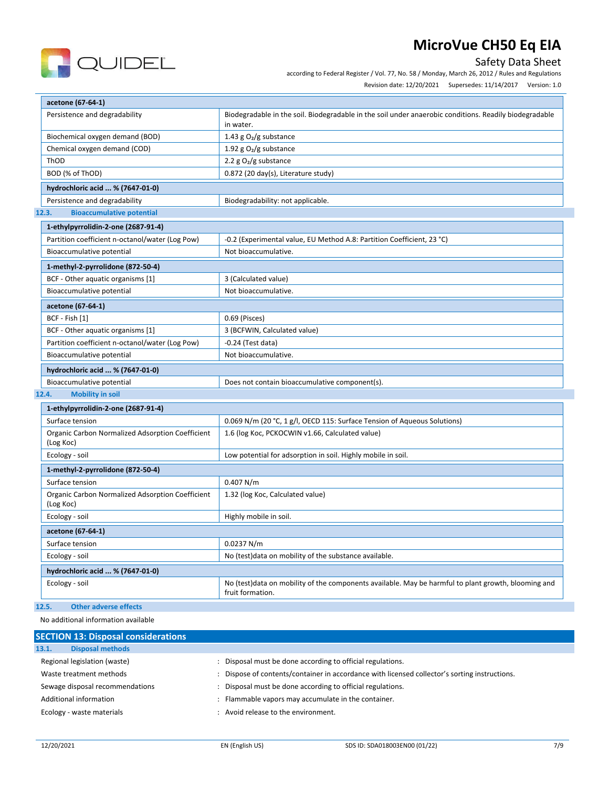

Safety Data Sheet

according to Federal Register / Vol. 77, No. 58 / Monday, March 26, 2012 / Rules and Regulations

| Revision date: 12/20/2021 | Supersedes: 11/14/2017 | Version: 1.0 |
|---------------------------|------------------------|--------------|
|                           |                        |              |

| acetone (67-64-1)                               |                                                                                                                     |  |  |
|-------------------------------------------------|---------------------------------------------------------------------------------------------------------------------|--|--|
| Persistence and degradability                   | Biodegradable in the soil. Biodegradable in the soil under anaerobic conditions. Readily biodegradable<br>in water. |  |  |
| Biochemical oxygen demand (BOD)                 | 1.43 g $O_2/g$ substance                                                                                            |  |  |
| Chemical oxygen demand (COD)                    | 1.92 g $O_2/g$ substance                                                                                            |  |  |
| ThOD                                            | 2.2 $g O2/g$ substance                                                                                              |  |  |
| BOD (% of ThOD)                                 | 0.872 (20 day(s), Literature study)                                                                                 |  |  |
| hydrochloric acid  % (7647-01-0)                |                                                                                                                     |  |  |
| Persistence and degradability                   | Biodegradability: not applicable.                                                                                   |  |  |
| <b>Bioaccumulative potential</b><br>12.3.       |                                                                                                                     |  |  |
| 1-ethylpyrrolidin-2-one (2687-91-4)             |                                                                                                                     |  |  |
| Partition coefficient n-octanol/water (Log Pow) | -0.2 (Experimental value, EU Method A.8: Partition Coefficient, 23 °C)                                              |  |  |
| Bioaccumulative potential                       | Not bioaccumulative.                                                                                                |  |  |
| 1-methyl-2-pyrrolidone (872-50-4)               |                                                                                                                     |  |  |
| BCF - Other aquatic organisms [1]               | 3 (Calculated value)                                                                                                |  |  |
| Bioaccumulative potential                       | Not bioaccumulative.                                                                                                |  |  |
| acetone (67-64-1)                               |                                                                                                                     |  |  |

| 1-methyl-2-pyrrolidone (872-50-4)               |                                                |  |
|-------------------------------------------------|------------------------------------------------|--|
| BCF - Other aquatic organisms [1]               | 3 (Calculated value)                           |  |
| Bioaccumulative potential                       | Not bioaccumulative.                           |  |
| acetone (67-64-1)                               |                                                |  |
| BCF - Fish [1]                                  | 0.69 (Pisces)                                  |  |
| BCF - Other aquatic organisms [1]               | 3 (BCFWIN, Calculated value)                   |  |
| Partition coefficient n-octanol/water (Log Pow) | $-0.24$ (Test data)                            |  |
| Bioaccumulative potential                       | Not bioaccumulative.                           |  |
| hydrochloric acid  % (7647-01-0)                |                                                |  |
| Bioaccumulative potential                       | Does not contain bioaccumulative component(s). |  |

## **12.4. Mobility in soil**

| 1-ethylpyrrolidin-2-one (2687-91-4)                           |                                                                                                                          |  |
|---------------------------------------------------------------|--------------------------------------------------------------------------------------------------------------------------|--|
| Surface tension                                               | 0.069 N/m (20 °C, 1 g/l, OECD 115: Surface Tension of Aqueous Solutions)                                                 |  |
| Organic Carbon Normalized Adsorption Coefficient<br>(Log Koc) | 1.6 (log Koc, PCKOCWIN v1.66, Calculated value)                                                                          |  |
| Ecology - soil                                                | Low potential for adsorption in soil. Highly mobile in soil.                                                             |  |
| 1-methyl-2-pyrrolidone (872-50-4)                             |                                                                                                                          |  |
| Surface tension                                               | 0.407 N/m                                                                                                                |  |
| Organic Carbon Normalized Adsorption Coefficient<br>(Log Koc) | 1.32 (log Koc, Calculated value)                                                                                         |  |
| Ecology - soil                                                | Highly mobile in soil.                                                                                                   |  |
| acetone (67-64-1)                                             |                                                                                                                          |  |
| Surface tension                                               | 0.0237 N/m                                                                                                               |  |
| Ecology - soil                                                | No (test) data on mobility of the substance available.                                                                   |  |
| hydrochloric acid  % (7647-01-0)                              |                                                                                                                          |  |
| Ecology - soil                                                | No (test) data on mobility of the components available. May be harmful to plant growth, blooming and<br>fruit formation. |  |

# **12.5. Other adverse effects**

## No additional information available

| <b>SECTION 13: Disposal considerations</b> |                                                                                             |  |
|--------------------------------------------|---------------------------------------------------------------------------------------------|--|
| <b>Disposal methods</b><br>13.1.           |                                                                                             |  |
| Regional legislation (waste)               | Disposal must be done according to official regulations.                                    |  |
| Waste treatment methods                    | Dispose of contents/container in accordance with licensed collector's sorting instructions. |  |
| Sewage disposal recommendations            | Disposal must be done according to official regulations.                                    |  |
| Additional information                     | Flammable vapors may accumulate in the container.                                           |  |
| Ecology - waste materials                  | Avoid release to the environment.                                                           |  |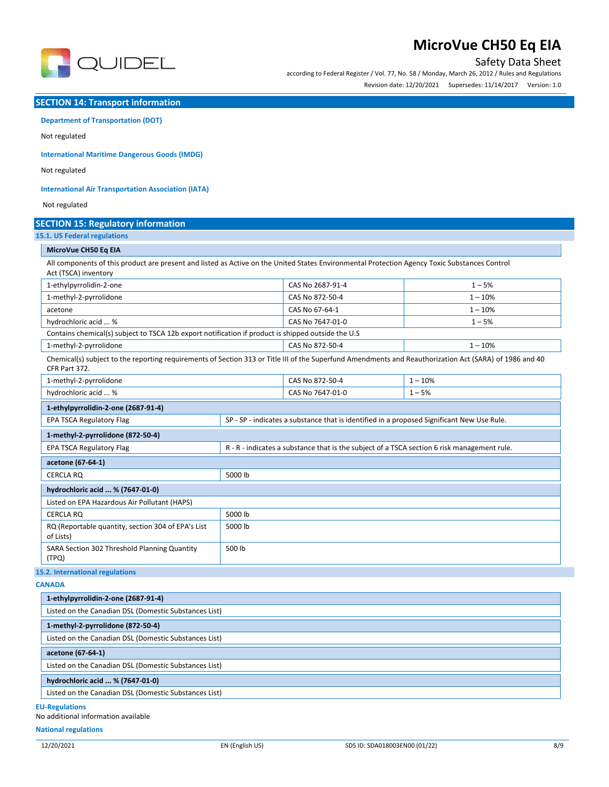

# Safety Data Sheet

according to Federal Register / Vol. 77, No. 58 / Monday, March 26, 2012 / Rules and Regulations Revision date: 12/20/2021 Supersedes: 11/14/2017 Version: 1.0

**SECTION 14: Transport information**

### **Department of Transportation (DOT)**

Not regulated

**International Maritime Dangerous Goods (IMDG)** 

Not regulated

**International Air Transportation Association (IATA)** 

Not regulated

# **SECTION 15: Regulatory information**

**15.1. US Federal regulations**

### **MicroVue CH50 Eq EIA**

All components of this product are present and listed as Active on the United States Environmental Protection Agency Toxic Substances Control Act (TSCA) inventory

| 1-ethylpyrrolidin-2-one                                                                                                                                                  | CAS No 2687-91-4                                                                            |                                                                                            | $1 - 5%$  |
|--------------------------------------------------------------------------------------------------------------------------------------------------------------------------|---------------------------------------------------------------------------------------------|--------------------------------------------------------------------------------------------|-----------|
| 1-methyl-2-pyrrolidone                                                                                                                                                   |                                                                                             | CAS No 872-50-4                                                                            | $1 - 10%$ |
| acetone                                                                                                                                                                  |                                                                                             | CAS No 67-64-1                                                                             | $1 - 10%$ |
| hydrochloric acid  %                                                                                                                                                     |                                                                                             | CAS No 7647-01-0                                                                           | $1 - 5%$  |
| Contains chemical(s) subject to TSCA 12b export notification if product is shipped outside the U.S                                                                       |                                                                                             |                                                                                            |           |
| 1-methyl-2-pyrrolidone                                                                                                                                                   |                                                                                             | CAS No 872-50-4                                                                            | $1 - 10%$ |
| Chemical(s) subject to the reporting requirements of Section 313 or Title III of the Superfund Amendments and Reauthorization Act (SARA) of 1986 and 40<br>CFR Part 372. |                                                                                             |                                                                                            |           |
| 1-methyl-2-pyrrolidone                                                                                                                                                   |                                                                                             |                                                                                            | $1 - 10%$ |
| hydrochloric acid  %                                                                                                                                                     |                                                                                             | CAS No 7647-01-0                                                                           | $1 - 5%$  |
| 1-ethylpyrrolidin-2-one (2687-91-4)                                                                                                                                      |                                                                                             |                                                                                            |           |
| <b>EPA TSCA Regulatory Flag</b>                                                                                                                                          |                                                                                             | SP - SP - indicates a substance that is identified in a proposed Significant New Use Rule. |           |
| 1-methyl-2-pyrrolidone (872-50-4)                                                                                                                                        |                                                                                             |                                                                                            |           |
| <b>EPA TSCA Regulatory Flag</b>                                                                                                                                          | R - R - indicates a substance that is the subject of a TSCA section 6 risk management rule. |                                                                                            |           |
| acetone (67-64-1)                                                                                                                                                        |                                                                                             |                                                                                            |           |
| <b>CERCLA RQ</b>                                                                                                                                                         | 5000 lb                                                                                     |                                                                                            |           |
| hydrochloric acid  % (7647-01-0)                                                                                                                                         |                                                                                             |                                                                                            |           |
| Listed on EPA Hazardous Air Pollutant (HAPS)                                                                                                                             |                                                                                             |                                                                                            |           |
| <b>CERCLA RO</b>                                                                                                                                                         | 5000 lb                                                                                     |                                                                                            |           |
| RQ (Reportable quantity, section 304 of EPA's List<br>of Lists)                                                                                                          | 5000 lb                                                                                     |                                                                                            |           |
| SARA Section 302 Threshold Planning Quantity<br>(TPQ)                                                                                                                    | 500 lb                                                                                      |                                                                                            |           |

#### **CANADA**

| ------                                                |  |
|-------------------------------------------------------|--|
| 1-ethylpyrrolidin-2-one (2687-91-4)                   |  |
| Listed on the Canadian DSL (Domestic Substances List) |  |
| 1-methyl-2-pyrrolidone (872-50-4)                     |  |
| Listed on the Canadian DSL (Domestic Substances List) |  |
| acetone (67-64-1)                                     |  |
| Listed on the Canadian DSL (Domestic Substances List) |  |
| hydrochloric acid  % (7647-01-0)                      |  |
| Listed on the Canadian DSL (Domestic Substances List) |  |

#### **EU-Regulations**

No additional information available

#### **National regulations**